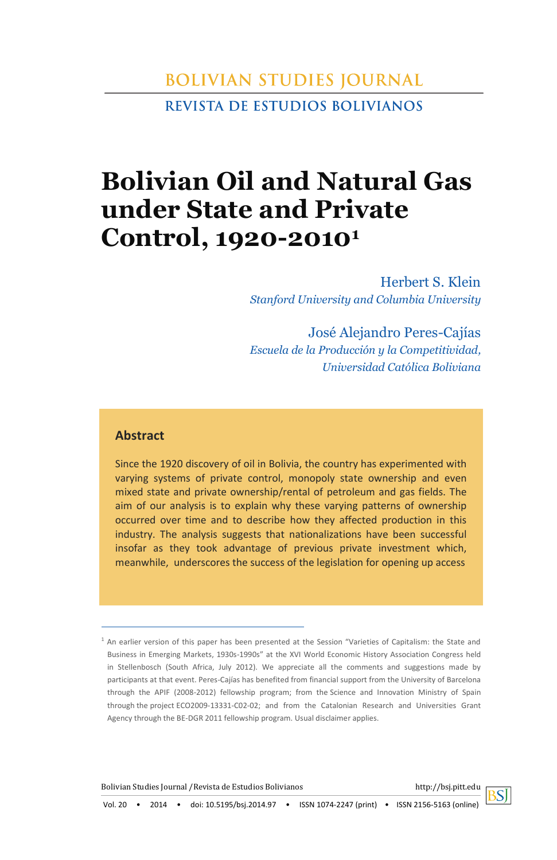# **BOLIVIAN STUDIES JOURNAL REVISTA DE ESTUDIOS BOLIVIANOS**

# **Bolivian Oil and Natural Gas under State and Private Control, 1920-2010<sup>1</sup>**

Herbert S. Klein *Stanford University and Columbia University*

José Alejandro Peres-Cajías *Escuela de la Producción y la Competitividad, Universidad Católica Boliviana*

### **Abstract**

Since the 1920 discovery of oil in Bolivia, the country has experimented with varying systems of private control, monopoly state ownership and even mixed state and private ownership/rental of petroleum and gas fields. The aim of our analysis is to explain why these varying patterns of ownership occurred over time and to describe how they affected production in this industry. The analysis suggests that nationalizations have been successful insofar as they took advantage of previous private investment which, meanwhile, underscores the success of the legislation for opening up access

Bolivian Studies Journal /Revista de Estudios Bolivianos http://bsj.pitt.edu



<sup>&</sup>lt;sup>1</sup> An earlier version of this paper has been presented at the Session "Varieties of Capitalism: the State and Business in Emerging Markets, 1930s-1990s" at the XVI World Economic History Association Congress held in Stellenbosch (South Africa, July 2012). We appreciate all the comments and suggestions made by participants at that event. Peres-Cajías has benefited from financial support from the University of Barcelona through the APIF (2008-2012) fellowship program; from the Science and Innovation Ministry of Spain through the project ECO2009‐13331‐C02‐02; and from the Catalonian Research and Universities Grant Agency through the BE-DGR 2011 fellowship program. Usual disclaimer applies.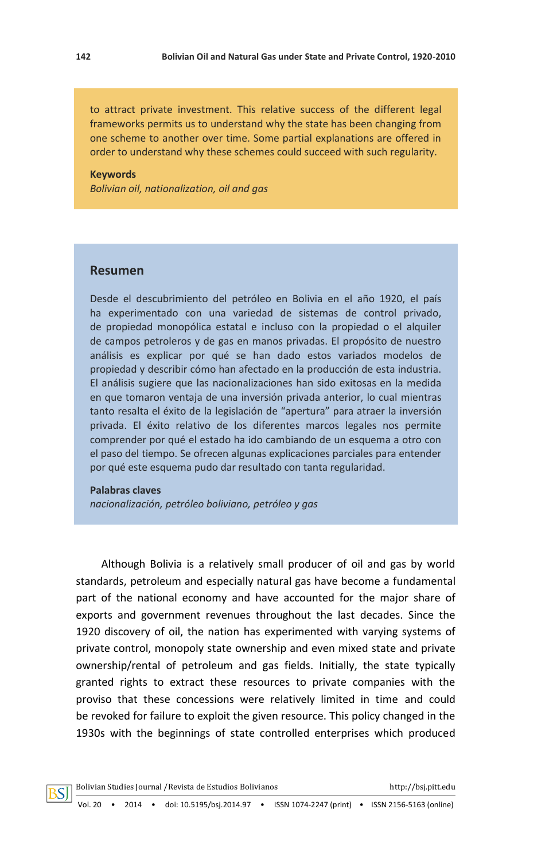to attract private investment. This relative success of the different legal frameworks permits us to understand why the state has been changing from one scheme to another over time. Some partial explanations are offered in order to understand why these schemes could succeed with such regularity.

#### **Keywords**

*Bolivian oil, nationalization, oil and gas* 

### **Resumen**

Desde el descubrimiento del petróleo en Bolivia en el año 1920, el país ha experimentado con una variedad de sistemas de control privado, de propiedad monopólica estatal e incluso con la propiedad o el alquiler de campos petroleros y de gas en manos privadas. El propósito de nuestro análisis es explicar por qué se han dado estos variados modelos de propiedad y describir cómo han afectado en la producción de esta industria. El análisis sugiere que las nacionalizaciones han sido exitosas en la medida en que tomaron ventaja de una inversión privada anterior, lo cual mientras tanto resalta el éxito de la legislación de "apertura" para atraer la inversión privada. El éxito relativo de los diferentes marcos legales nos permite comprender por qué el estado ha ido cambiando de un esquema a otro con el paso del tiempo. Se ofrecen algunas explicaciones parciales para entender por qué este esquema pudo dar resultado con tanta regularidad.

#### **Palabras claves**

*nacionalización, petróleo boliviano, petróleo y gas*

Although Bolivia is a relatively small producer of oil and gas by world standards, petroleum and especially natural gas have become a fundamental part of the national economy and have accounted for the major share of exports and government revenues throughout the last decades. Since the 1920 discovery of oil, the nation has experimented with varying systems of private control, monopoly state ownership and even mixed state and private ownership/rental of petroleum and gas fields. Initially, the state typically granted rights to extract these resources to private companies with the proviso that these concessions were relatively limited in time and could be revoked for failure to exploit the given resource. This policy changed in the 1930s with the beginnings of state controlled enterprises which produced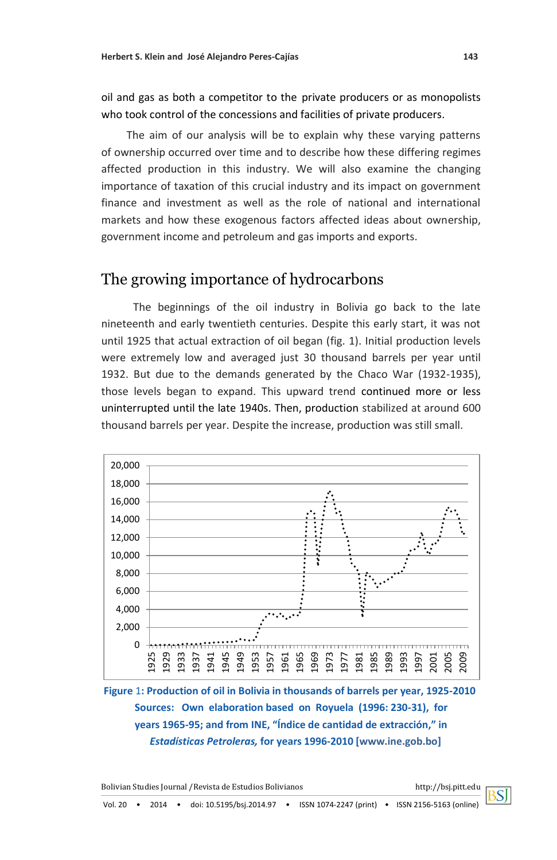oil and gas as both a competitor to the private producers or as monopolists who took control of the concessions and facilities of private producers.

The aim of our analysis will be to explain why these varying patterns of ownership occurred over time and to describe how these differing regimes affected production in this industry. We will also examine the changing importance of taxation of this crucial industry and its impact on government finance and investment as well as the role of national and international markets and how these exogenous factors affected ideas about ownership, government income and petroleum and gas imports and exports.

## The growing importance of hydrocarbons

The beginnings of the oil industry in Bolivia go back to the late nineteenth and early twentieth centuries. Despite this early start, it was not until 1925 that actual extraction of oil began (fig. 1). Initial production levels were extremely low and averaged just 30 thousand barrels per year until 1932. But due to the demands generated by the Chaco War (1932-1935), those levels began to expand. This upward trend continued more or less uninterrupted until the late 1940s. Then, production stabilized at around 600 thousand barrels per year. Despite the increase, production was still small.



**Figure** 1**: Production of oil in Bolivia in thousands of barrels per year, 1925-2010 Sources: Own elaboration based on Royuela (1996: 230-31), for years 1965-95; and from INE, "Índice de cantidad de extracción," in**   *Estadísticas Petroleras,* **for years 1996-2010 [\[www.ine.gob.bo\]](http://www.ine.gob.bo/)**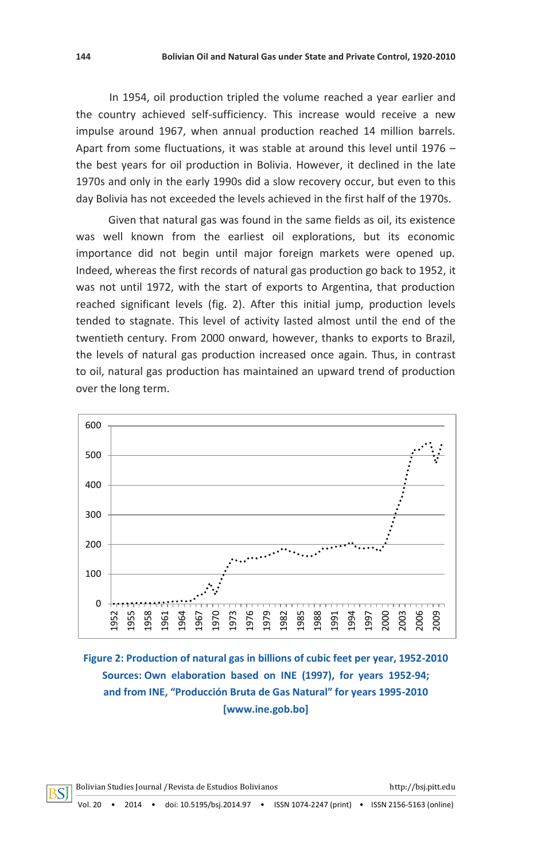In 1954, oil production tripled the volume reached a year earlier and the country achieved self-sufficiency. This increase would receive a new impulse around 1967, when annual production reached 14 million barrels. Apart from some fluctuations, it was stable at around this level until 1976 – the best years for oil production in Bolivia. However, it declined in the late 1970s and only in the early 1990s did a slow recovery occur, but even to this day Bolivia has not exceeded the levels achieved in the first half of the 1970s.

Given that natural gas was found in the same fields as oil, its existence was well known from the earliest oil explorations, but its economic importance did not begin until major foreign markets were opened up. Indeed, whereas the first records of natural gas production go back to 1952, it was not until 1972, with the start of exports to Argentina, that production reached significant levels (fig. 2). After this initial jump, production levels tended to stagnate. This level of activity lasted almost until the end of the twentieth century. From 2000 onward, however, thanks to exports to Brazil, the levels of natural gas production increased once again. Thus, in contrast to oil, natural gas production has maintained an upward trend of production over the long term.



**Figure 2: Production of natural gas in billions of cubic feet per year, 1952-2010 Sources: Own elaboration based on INE (1997), for years 1952-94; and from INE, "Producción Bruta de Gas Natural" for years 1995-2010 [\[www.ine.gob.bo\]](http://www.ine.gob.bo/)**

3SI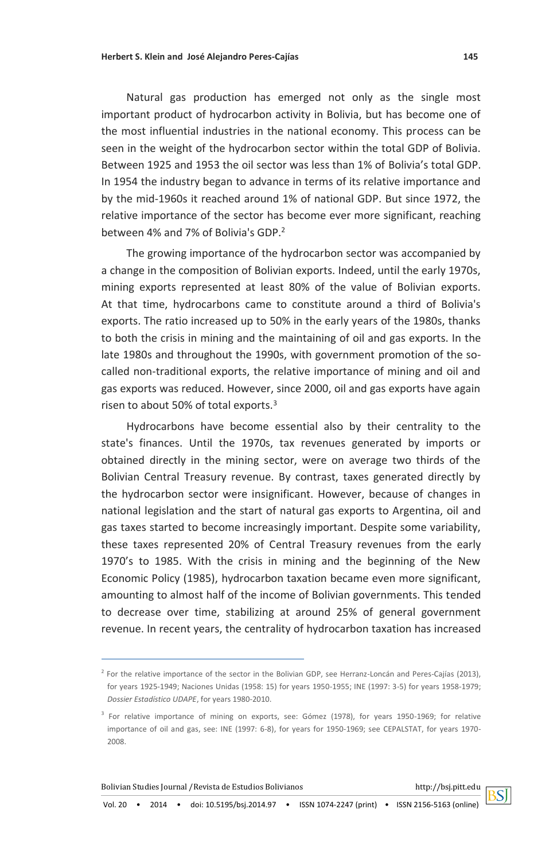Natural gas production has emerged not only as the single most important product of hydrocarbon activity in Bolivia, but has become one of the most influential industries in the national economy. This process can be seen in the weight of the hydrocarbon sector within the total GDP of Bolivia. Between 1925 and 1953 the oil sector was less than 1% of Bolivia's total GDP. In 1954 the industry began to advance in terms of its relative importance and by the mid-1960s it reached around 1% of national GDP. But since 1972, the relative importance of the sector has become ever more significant, reaching between 4% and 7% of Bolivia's GDP.<sup>2</sup>

The growing importance of the hydrocarbon sector was accompanied by a change in the composition of Bolivian exports. Indeed, until the early 1970s, mining exports represented at least 80% of the value of Bolivian exports. At that time, hydrocarbons came to constitute around a third of Bolivia's exports. The ratio increased up to 50% in the early years of the 1980s, thanks to both the crisis in mining and the maintaining of oil and gas exports. In the late 1980s and throughout the 1990s, with government promotion of the socalled non-traditional exports, the relative importance of mining and oil and gas exports was reduced. However, since 2000, oil and gas exports have again risen to about 50% of total exports.<sup>3</sup>

Hydrocarbons have become essential also by their centrality to the state's finances. Until the 1970s, tax revenues generated by imports or obtained directly in the mining sector, were on average two thirds of the Bolivian Central Treasury revenue. By contrast, taxes generated directly by the hydrocarbon sector were insignificant. However, because of changes in national legislation and the start of natural gas exports to Argentina, oil and gas taxes started to become increasingly important. Despite some variability, these taxes represented 20% of Central Treasury revenues from the early 1970's to 1985. With the crisis in mining and the beginning of the New Economic Policy (1985), hydrocarbon taxation became even more significant, amounting to almost half of the income of Bolivian governments. This tended to decrease over time, stabilizing at around 25% of general government revenue. In recent years, the centrality of hydrocarbon taxation has increased

Vol. 20 • 2014 • doi: 10.5195/bsj.2014.97 • ISSN 1074-2247 (print) • ISSN 2156-5163 (online)

<sup>&</sup>lt;sup>2</sup> For the relative importance of the sector in the Bolivian GDP, see Herranz-Loncán and Peres-Cajías (2013), for years 1925-1949; Naciones Unidas (1958: 15) for years 1950-1955; INE (1997: 3-5) for years 1958-1979; *Dossier Estadístico UDAPE*, for years 1980-2010.

<sup>&</sup>lt;sup>3</sup> For relative importance of mining on exports, see: Gómez (1978), for years 1950-1969; for relative importance of oil and gas, see: INE (1997: 6-8), for years for 1950-1969; see CEPALSTAT, for years 1970- 2008.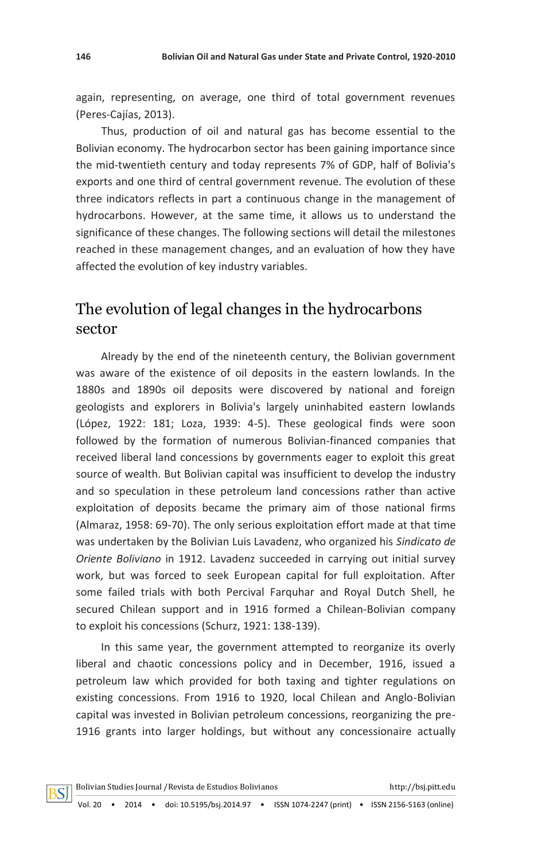again, representing, on average, one third of total government revenues (Peres-Cajías, 2013).

Thus, production of oil and natural gas has become essential to the Bolivian economy. The hydrocarbon sector has been gaining importance since the mid-twentieth century and today represents 7% of GDP, half of Bolivia's exports and one third of central government revenue. The evolution of these three indicators reflects in part a continuous change in the management of hydrocarbons. However, at the same time, it allows us to understand the significance of these changes. The following sections will detail the milestones reached in these management changes, and an evaluation of how they have affected the evolution of key industry variables.

# The evolution of legal changes in the hydrocarbons sector

Already by the end of the nineteenth century, the Bolivian government was aware of the existence of oil deposits in the eastern lowlands. In the 1880s and 1890s oil deposits were discovered by national and foreign geologists and explorers in Bolivia's largely uninhabited eastern lowlands (López, 1922: 181; Loza, 1939: 4-5). These geological finds were soon followed by the formation of numerous Bolivian-financed companies that received liberal land concessions by governments eager to exploit this great source of wealth. But Bolivian capital was insufficient to develop the industry and so speculation in these petroleum land concessions rather than active exploitation of deposits became the primary aim of those national firms (Almaraz, 1958: 69-70). The only serious exploitation effort made at that time was undertaken by the Bolivian Luis Lavadenz, who organized his *Sindicato de Oriente Boliviano* in 1912. Lavadenz succeeded in carrying out initial survey work, but was forced to seek European capital for full exploitation. After some failed trials with both Percival Farquhar and Royal Dutch Shell, he secured Chilean support and in 1916 formed a Chilean-Bolivian company to exploit his concessions (Schurz, 1921: 138-139).

In this same year, the government attempted to reorganize its overly liberal and chaotic concessions policy and in December, 1916, issued a petroleum law which provided for both taxing and tighter regulations on existing concessions. From 1916 to 1920, local Chilean and Anglo-Bolivian capital was invested in Bolivian petroleum concessions, reorganizing the pre-1916 grants into larger holdings, but without any concessionaire actually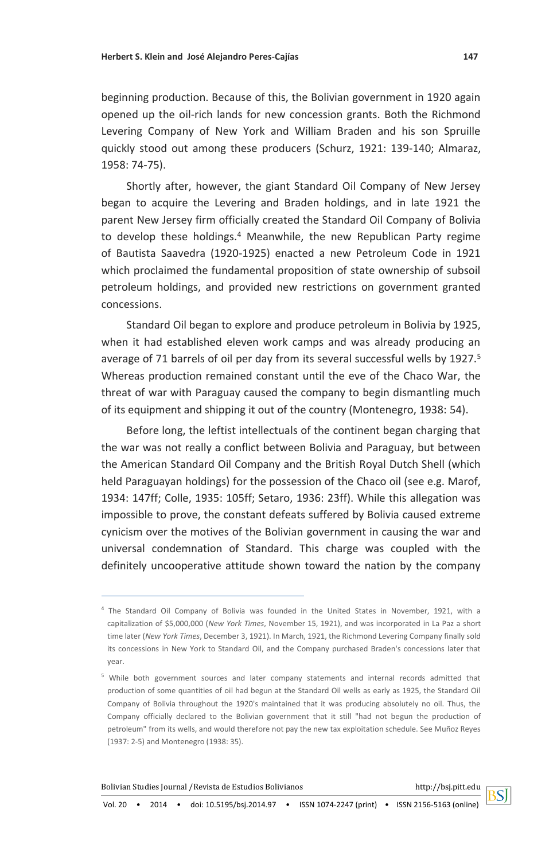beginning production. Because of this, the Bolivian government in 1920 again opened up the oil-rich lands for new concession grants. Both the Richmond Levering Company of New York and William Braden and his son Spruille quickly stood out among these producers (Schurz, 1921: 139-140; Almaraz, 1958: 74-75).

Shortly after, however, the giant Standard Oil Company of New Jersey began to acquire the Levering and Braden holdings, and in late 1921 the parent New Jersey firm officially created the Standard Oil Company of Bolivia to develop these holdings.<sup>4</sup> Meanwhile, the new Republican Party regime of Bautista Saavedra (1920-1925) enacted a new Petroleum Code in 1921 which proclaimed the fundamental proposition of state ownership of subsoil petroleum holdings, and provided new restrictions on government granted concessions.

Standard Oil began to explore and produce petroleum in Bolivia by 1925, when it had established eleven work camps and was already producing an average of 71 barrels of oil per day from its several successful wells by 1927.<sup>5</sup> Whereas production remained constant until the eve of the Chaco War, the threat of war with Paraguay caused the company to begin dismantling much of its equipment and shipping it out of the country (Montenegro, 1938: 54).

Before long, the leftist intellectuals of the continent began charging that the war was not really a conflict between Bolivia and Paraguay, but between the American Standard Oil Company and the British Royal Dutch Shell (which held Paraguayan holdings) for the possession of the Chaco oil (see e.g. Marof, 1934: 147ff; Colle, 1935: 105ff; Setaro, 1936: 23ff). While this allegation was impossible to prove, the constant defeats suffered by Bolivia caused extreme cynicism over the motives of the Bolivian government in causing the war and universal condemnation of Standard. This charge was coupled with the definitely uncooperative attitude shown toward the nation by the company

<sup>4</sup> The Standard Oil Company of Bolivia was founded in the United States in November, 1921, with a capitalization of \$5,000,000 (*New York Times*, November 15, 1921), and was incorporated in La Paz a short time later (*New York Times*, December 3, 1921). In March, 1921, the Richmond Levering Company finally sold its concessions in New York to Standard Oil, and the Company purchased Braden's concessions later that year.

<sup>5</sup> While both government sources and later company statements and internal records admitted that production of some quantities of oil had begun at the Standard Oil wells as early as 1925, the Standard Oil Company of Bolivia throughout the 1920's maintained that it was producing absolutely no oil. Thus, the Company officially declared to the Bolivian government that it still "had not begun the production of petroleum" from its wells, and would therefore not pay the new tax exploitation schedule. See Muñoz Reyes (1937: 2-5) and Montenegro (1938: 35).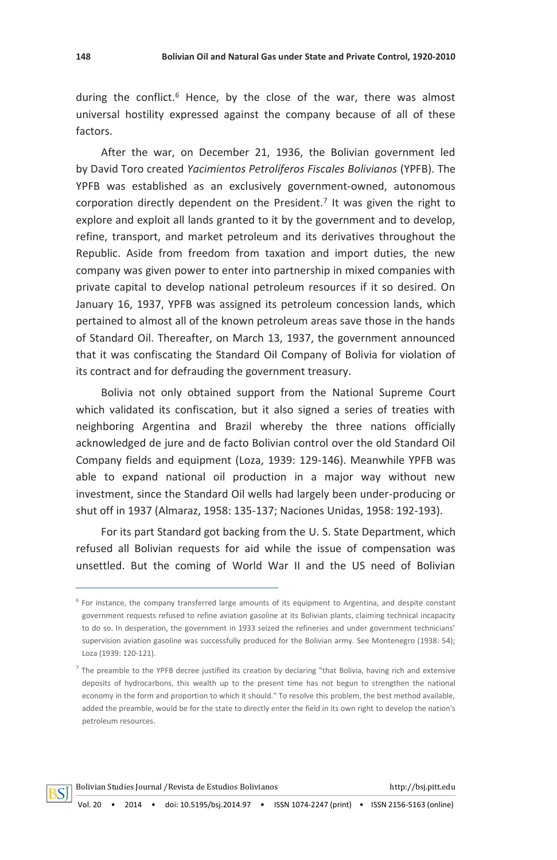during the conflict.<sup>6</sup> Hence, by the close of the war, there was almost universal hostility expressed against the company because of all of these factors.

After the war, on December 21, 1936, the Bolivian government led by David Toro created *Yacimientos Petrolíferos Fiscales Bolivianos* (YPFB). The YPFB was established as an exclusively government-owned, autonomous corporation directly dependent on the President.<sup>7</sup> It was given the right to explore and exploit all lands granted to it by the government and to develop, refine, transport, and market petroleum and its derivatives throughout the Republic. Aside from freedom from taxation and import duties, the new company was given power to enter into partnership in mixed companies with private capital to develop national petroleum resources if it so desired. On January 16, 1937, YPFB was assigned its petroleum concession lands, which pertained to almost all of the known petroleum areas save those in the hands of Standard Oil. Thereafter, on March 13, 1937, the government announced that it was confiscating the Standard Oil Company of Bolivia for violation of its contract and for defrauding the government treasury.

Bolivia not only obtained support from the National Supreme Court which validated its confiscation, but it also signed a series of treaties with neighboring Argentina and Brazil whereby the three nations officially acknowledged de jure and de facto Bolivian control over the old Standard Oil Company fields and equipment (Loza, 1939: 129-146). Meanwhile YPFB was able to expand national oil production in a major way without new investment, since the Standard Oil wells had largely been under-producing or shut off in 1937 (Almaraz, 1958: 135-137; Naciones Unidas, 1958: 192-193).

For its part Standard got backing from the U. S. State Department, which refused all Bolivian requests for aid while the issue of compensation was unsettled. But the coming of World War II and the US need of Bolivian

<sup>&</sup>lt;sup>6</sup> For instance, the company transferred large amounts of its equipment to Argentina, and despite constant government requests refused to refine aviation gasoline at its Bolivian plants, claiming technical incapacity to do so. In desperation, the government in 1933 seized the refineries and under government technicians' supervision aviation gasoline was successfully produced for the Bolivian army. See Montenegro (1938: 54); Loza (1939: 120-121).

<sup>&</sup>lt;sup>7</sup> The preamble to the YPFB decree justified its creation by declaring "that Bolivia, having rich and extensive deposits of hydrocarbons, this wealth up to the present time has not begun to strengthen the national economy in the form and proportion to which it should." To resolve this problem, the best method available, added the preamble, would be for the state to directly enter the field in its own right to develop the nation's petroleum resources.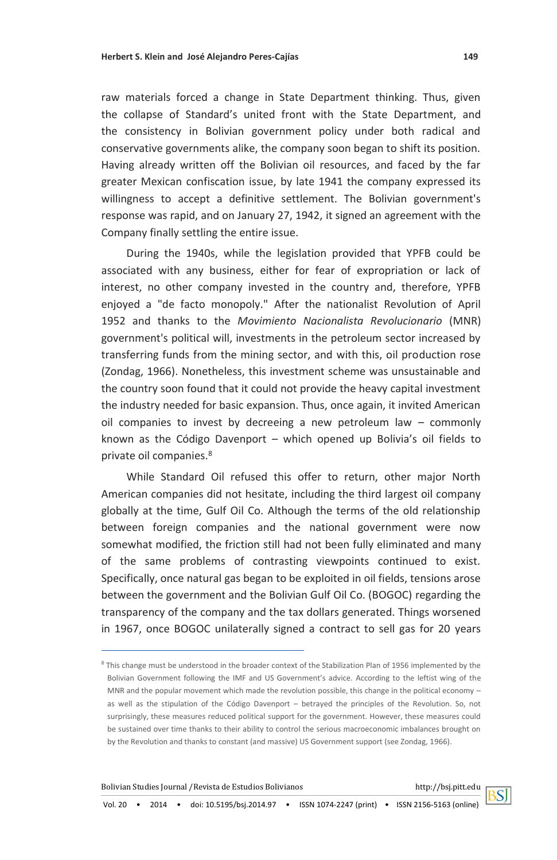raw materials forced a change in State Department thinking. Thus, given the collapse of Standard's united front with the State Department, and the consistency in Bolivian government policy under both radical and conservative governments alike, the company soon began to shift its position. Having already written off the Bolivian oil resources, and faced by the far greater Mexican confiscation issue, by late 1941 the company expressed its willingness to accept a definitive settlement. The Bolivian government's response was rapid, and on January 27, 1942, it signed an agreement with the Company finally settling the entire issue.

During the 1940s, while the legislation provided that YPFB could be associated with any business, either for fear of expropriation or lack of interest, no other company invested in the country and, therefore, YPFB enjoyed a "de facto monopoly." After the nationalist Revolution of April 1952 and thanks to the *Movimiento Nacionalista Revolucionario* (MNR) government's political will, investments in the petroleum sector increased by transferring funds from the mining sector, and with this, oil production rose (Zondag, 1966). Nonetheless, this investment scheme was unsustainable and the country soon found that it could not provide the heavy capital investment the industry needed for basic expansion. Thus, once again, it invited American oil companies to invest by decreeing a new petroleum law – commonly known as the Código Davenport – which opened up Bolivia's oil fields to private oil companies.<sup>8</sup>

While Standard Oil refused this offer to return, other major North American companies did not hesitate, including the third largest oil company globally at the time, Gulf Oil Co. Although the terms of the old relationship between foreign companies and the national government were now somewhat modified, the friction still had not been fully eliminated and many of the same problems of contrasting viewpoints continued to exist. Specifically, once natural gas began to be exploited in oil fields, tensions arose between the government and the Bolivian Gulf Oil Co. (BOGOC) regarding the transparency of the company and the tax dollars generated. Things worsened in 1967, once BOGOC unilaterally signed a contract to sell gas for 20 years

<sup>&</sup>lt;sup>8</sup> This change must be understood in the broader context of the Stabilization Plan of 1956 implemented by the Bolivian Government following the IMF and US Government's advice. According to the leftist wing of the MNR and the popular movement which made the revolution possible, this change in the political economy – as well as the stipulation of the Código Davenport – betrayed the principles of the Revolution. So, not surprisingly, these measures reduced political support for the government. However, these measures could be sustained over time thanks to their ability to control the serious macroeconomic imbalances brought on by the Revolution and thanks to constant (and massive) US Government support (see Zondag, 1966).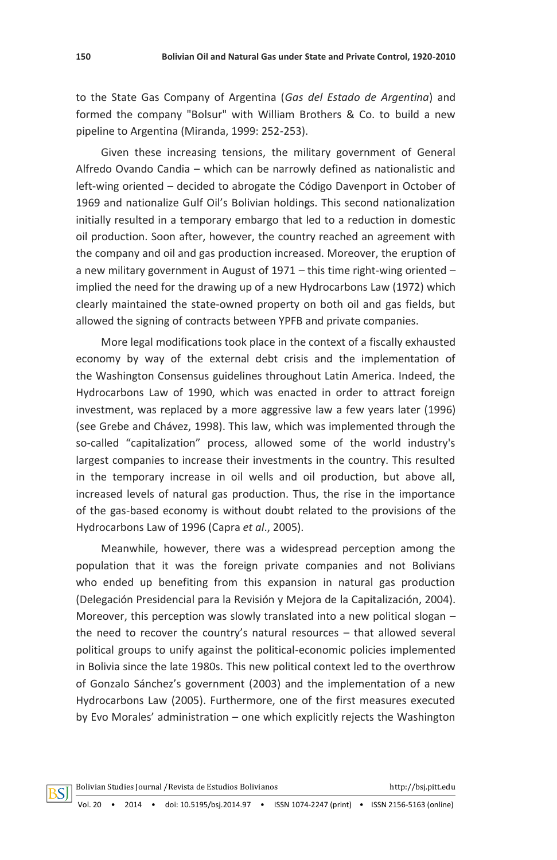to the State Gas Company of Argentina (*Gas del Estado de Argentina*) and formed the company "Bolsur" with William Brothers & Co. to build a new pipeline to Argentina (Miranda, 1999: 252-253).

Given these increasing tensions, the military government of General Alfredo Ovando Candia – which can be narrowly defined as nationalistic and left-wing oriented – decided to abrogate the Código Davenport in October of 1969 and nationalize Gulf Oil's Bolivian holdings. This second nationalization initially resulted in a temporary embargo that led to a reduction in domestic oil production. Soon after, however, the country reached an agreement with the company and oil and gas production increased. Moreover, the eruption of a new military government in August of 1971 – this time right-wing oriented – implied the need for the drawing up of a new Hydrocarbons Law (1972) which clearly maintained the state-owned property on both oil and gas fields, but allowed the signing of contracts between YPFB and private companies.

More legal modifications took place in the context of a fiscally exhausted economy by way of the external debt crisis and the implementation of the Washington Consensus guidelines throughout Latin America. Indeed, the Hydrocarbons Law of 1990, which was enacted in order to attract foreign investment, was replaced by a more aggressive law a few years later (1996) (see Grebe and Chávez, 1998). This law, which was implemented through the so-called "capitalization" process, allowed some of the world industry's largest companies to increase their investments in the country. This resulted in the temporary increase in oil wells and oil production, but above all, increased levels of natural gas production. Thus, the rise in the importance of the gas-based economy is without doubt related to the provisions of the Hydrocarbons Law of 1996 (Capra *et al*., 2005).

Meanwhile, however, there was a widespread perception among the population that it was the foreign private companies and not Bolivians who ended up benefiting from this expansion in natural gas production (Delegación Presidencial para la Revisión y Mejora de la Capitalización, 2004). Moreover, this perception was slowly translated into a new political slogan – the need to recover the country's natural resources – that allowed several political groups to unify against the political-economic policies implemented in Bolivia since the late 1980s. This new political context led to the overthrow of Gonzalo Sánchez's government (2003) and the implementation of a new Hydrocarbons Law (2005). Furthermore, one of the first measures executed by Evo Morales' administration – one which explicitly rejects the Washington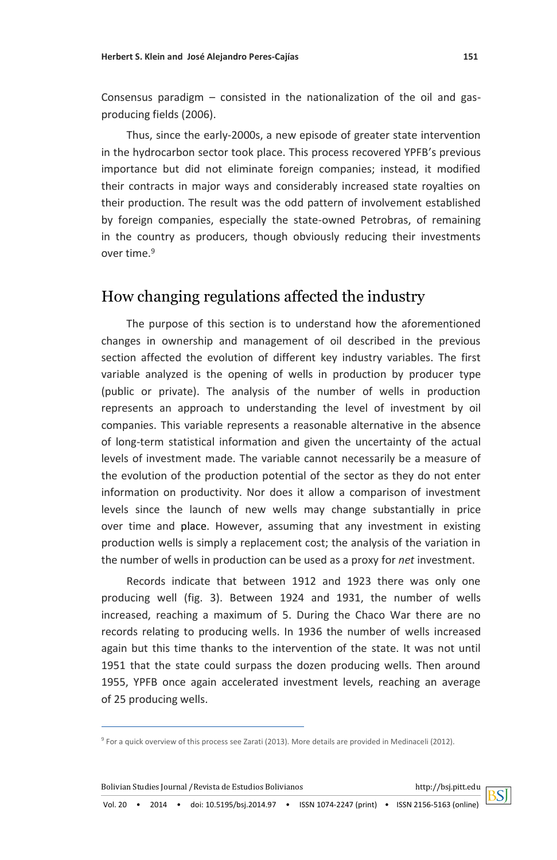Consensus paradigm – consisted in the nationalization of the oil and gasproducing fields (2006).

Thus, since the early-2000s, a new episode of greater state intervention in the hydrocarbon sector took place. This process recovered YPFB's previous importance but did not eliminate foreign companies; instead, it modified their contracts in major ways and considerably increased state royalties on their production. The result was the odd pattern of involvement established by foreign companies, especially the state-owned Petrobras, of remaining in the country as producers, though obviously reducing their investments over time.<sup>9</sup>

# How changing regulations affected the industry

The purpose of this section is to understand how the aforementioned changes in ownership and management of oil described in the previous section affected the evolution of different key industry variables. The first variable analyzed is the opening of wells in production by producer type (public or private). The analysis of the number of wells in production represents an approach to understanding the level of investment by oil companies. This variable represents a reasonable alternative in the absence of long-term statistical information and given the uncertainty of the actual levels of investment made. The variable cannot necessarily be a measure of the evolution of the production potential of the sector as they do not enter information on productivity. Nor does it allow a comparison of investment levels since the launch of new wells may change substantially in price over time and place. However, assuming that any investment in existing production wells is simply a replacement cost; the analysis of the variation in the number of wells in production can be used as a proxy for *net* investment.

Records indicate that between 1912 and 1923 there was only one producing well (fig. 3). Between 1924 and 1931, the number of wells increased, reaching a maximum of 5. During the Chaco War there are no records relating to producing wells. In 1936 the number of wells increased again but this time thanks to the intervention of the state. It was not until 1951 that the state could surpass the dozen producing wells. Then around 1955, YPFB once again accelerated investment levels, reaching an average of 25 producing wells.

<sup>&</sup>lt;sup>9</sup> For a quick overview of this process see Zarati (2013). More details are provided in Medinaceli (2012).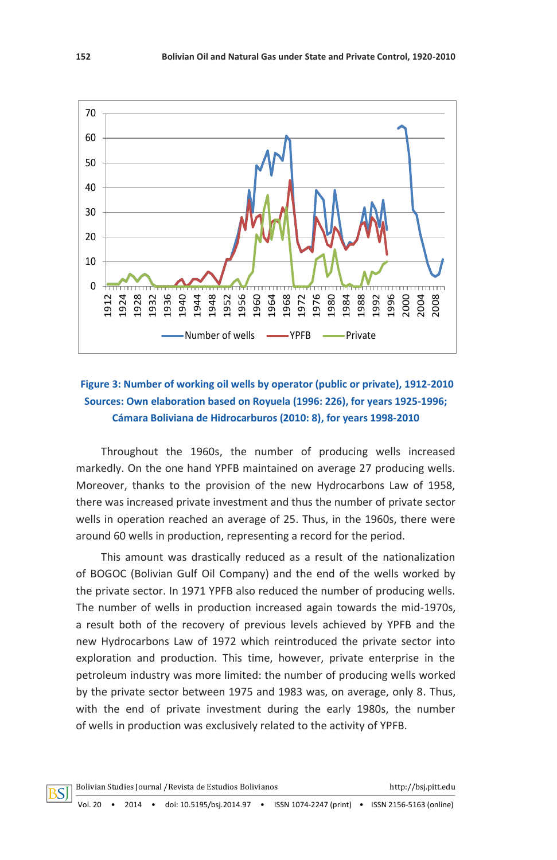

### **Figure 3: Number of working oil wells by operator (public or private), 1912-2010 Sources: Own elaboration based on Royuela (1996: 226), for years 1925-1996; Cámara Boliviana de Hidrocarburos (2010: 8), for years 1998-2010**

Throughout the 1960s, the number of producing wells increased markedly. On the one hand YPFB maintained on average 27 producing wells. Moreover, thanks to the provision of the new Hydrocarbons Law of 1958, there was increased private investment and thus the number of private sector wells in operation reached an average of 25. Thus, in the 1960s, there were around 60 wells in production, representing a record for the period.

This amount was drastically reduced as a result of the nationalization of BOGOC (Bolivian Gulf Oil Company) and the end of the wells worked by the private sector. In 1971 YPFB also reduced the number of producing wells. The number of wells in production increased again towards the mid-1970s, a result both of the recovery of previous levels achieved by YPFB and the new Hydrocarbons Law of 1972 which reintroduced the private sector into exploration and production. This time, however, private enterprise in the petroleum industry was more limited: the number of producing wells worked by the private sector between 1975 and 1983 was, on average, only 8. Thus, with the end of private investment during the early 1980s, the number of wells in production was exclusively related to the activity of YPFB.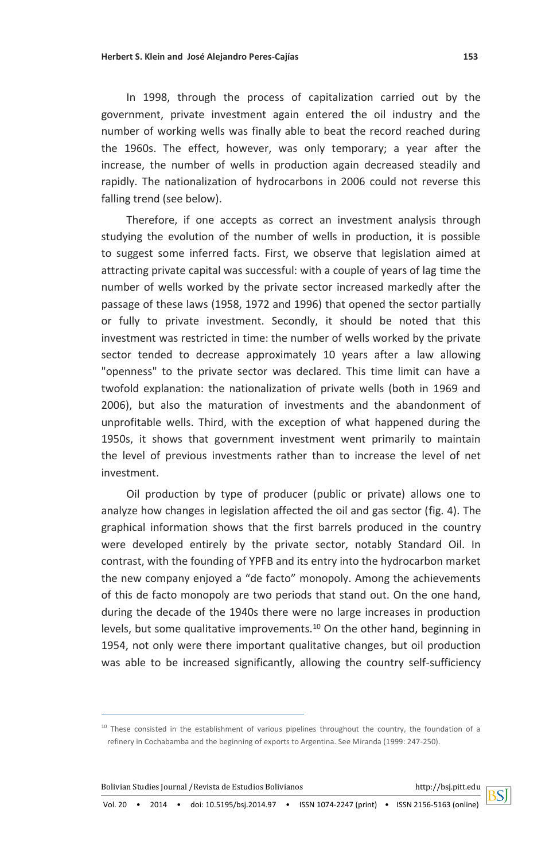In 1998, through the process of capitalization carried out by the government, private investment again entered the oil industry and the number of working wells was finally able to beat the record reached during the 1960s. The effect, however, was only temporary; a year after the increase, the number of wells in production again decreased steadily and rapidly. The nationalization of hydrocarbons in 2006 could not reverse this falling trend (see below).

Therefore, if one accepts as correct an investment analysis through studying the evolution of the number of wells in production, it is possible to suggest some inferred facts. First, we observe that legislation aimed at attracting private capital was successful: with a couple of years of lag time the number of wells worked by the private sector increased markedly after the passage of these laws (1958, 1972 and 1996) that opened the sector partially or fully to private investment. Secondly, it should be noted that this investment was restricted in time: the number of wells worked by the private sector tended to decrease approximately 10 years after a law allowing "openness" to the private sector was declared. This time limit can have a twofold explanation: the nationalization of private wells (both in 1969 and 2006), but also the maturation of investments and the abandonment of unprofitable wells. Third, with the exception of what happened during the 1950s, it shows that government investment went primarily to maintain the level of previous investments rather than to increase the level of net investment.

Oil production by type of producer (public or private) allows one to analyze how changes in legislation affected the oil and gas sector (fig. 4). The graphical information shows that the first barrels produced in the country were developed entirely by the private sector, notably Standard Oil. In contrast, with the founding of YPFB and its entry into the hydrocarbon market the new company enjoyed a "de facto" monopoly. Among the achievements of this de facto monopoly are two periods that stand out. On the one hand, during the decade of the 1940s there were no large increases in production levels, but some qualitative improvements.<sup>10</sup> On the other hand, beginning in 1954, not only were there important qualitative changes, but oil production was able to be increased significantly, allowing the country self-sufficiency



 $10$  These consisted in the establishment of various pipelines throughout the country, the foundation of a refinery in Cochabamba and the beginning of exports to Argentina. See Miranda (1999: 247-250).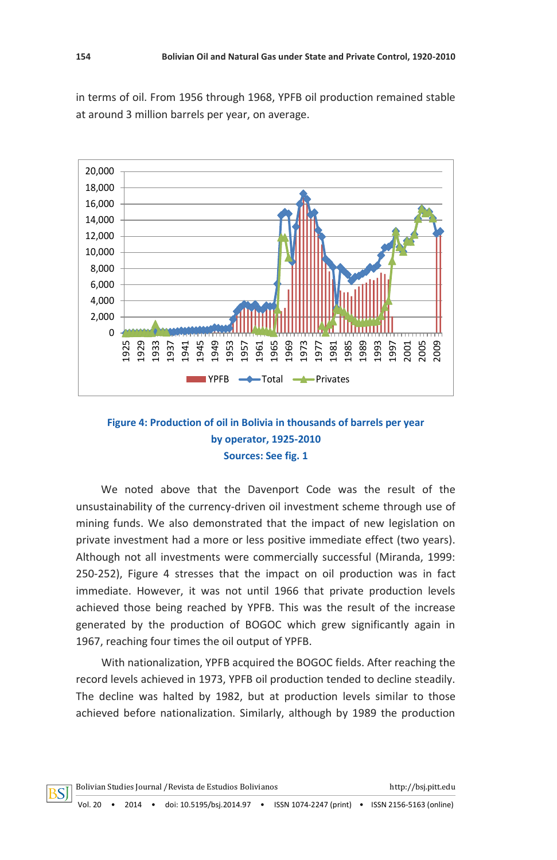in terms of oil. From 1956 through 1968, YPFB oil production remained stable at around 3 million barrels per year, on average.



### **Figure 4: Production of oil in Bolivia in thousands of barrels per year by operator, 1925-2010 Sources: See fig. 1**

We noted above that the Davenport Code was the result of the unsustainability of the currency-driven oil investment scheme through use of mining funds. We also demonstrated that the impact of new legislation on private investment had a more or less positive immediate effect (two years). Although not all investments were commercially successful (Miranda, 1999: 250-252), Figure 4 stresses that the impact on oil production was in fact immediate. However, it was not until 1966 that private production levels achieved those being reached by YPFB. This was the result of the increase generated by the production of BOGOC which grew significantly again in 1967, reaching four times the oil output of YPFB.

With nationalization, YPFB acquired the BOGOC fields. After reaching the record levels achieved in 1973, YPFB oil production tended to decline steadily. The decline was halted by 1982, but at production levels similar to those achieved before nationalization. Similarly, although by 1989 the production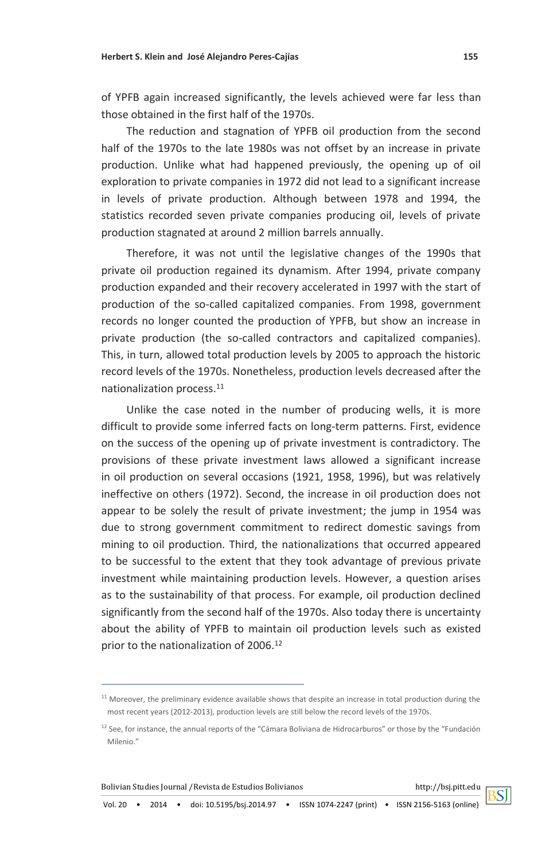of YPFB again increased significantly, the levels achieved were far less than those obtained in the first half of the 1970s.

The reduction and stagnation of YPFB oil production from the second half of the 1970s to the late 1980s was not offset by an increase in private production. Unlike what had happened previously, the opening up of oil exploration to private companies in 1972 did not lead to a significant increase in levels of private production. Although between 1978 and 1994, the statistics recorded seven private companies producing oil, levels of private production stagnated at around 2 million barrels annually.

Therefore, it was not until the legislative changes of the 1990s that private oil production regained its dynamism. After 1994, private company production expanded and their recovery accelerated in 1997 with the start of production of the so-called capitalized companies. From 1998, government records no longer counted the production of YPFB, but show an increase in private production (the so-called contractors and capitalized companies). This, in turn, allowed total production levels by 2005 to approach the historic record levels of the 1970s. Nonetheless, production levels decreased after the nationalization process.<sup>11</sup>

Unlike the case noted in the number of producing wells, it is more difficult to provide some inferred facts on long-term patterns. First, evidence on the success of the opening up of private investment is contradictory. The provisions of these private investment laws allowed a significant increase in oil production on several occasions (1921, 1958, 1996), but was relatively ineffective on others (1972). Second, the increase in oil production does not appear to be solely the result of private investment; the jump in 1954 was due to strong government commitment to redirect domestic savings from mining to oil production. Third, the nationalizations that occurred appeared to be successful to the extent that they took advantage of previous private investment while maintaining production levels. However, a question arises as to the sustainability of that process. For example, oil production declined significantly from the second half of the 1970s. Also today there is uncertainty about the ability of YPFB to maintain oil production levels such as existed prior to the nationalization of 2006.<sup>12</sup>

Bolivian Studies Journal /Revista de Estudios Bolivianos http://bsj.pitt.edu

 $11$  Moreover, the preliminary evidence available shows that despite an increase in total production during the most recent years (2012-2013), production levels are still below the record levels of the 1970s.

 $12$  See, for instance, the annual reports of the "Cámara Boliviana de Hidrocarburos" or those by the "Fundación" Milenio."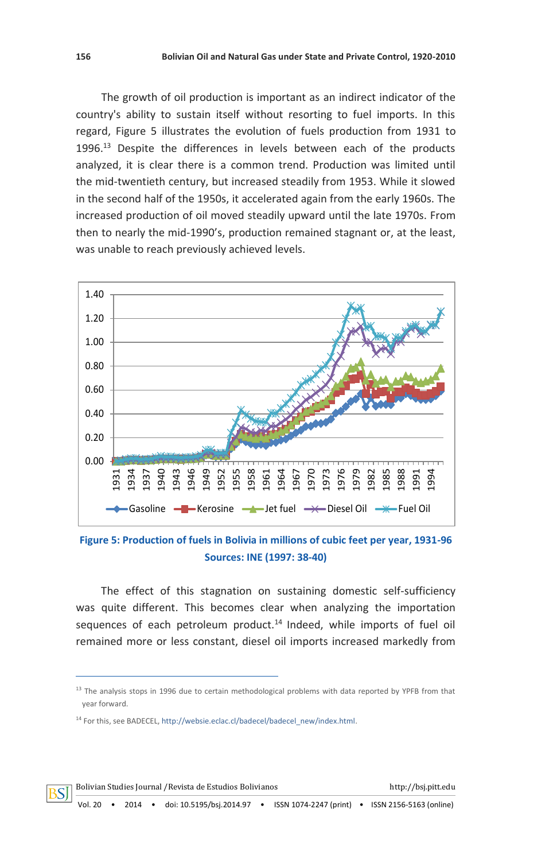The growth of oil production is important as an indirect indicator of the country's ability to sustain itself without resorting to fuel imports. In this regard, Figure 5 illustrates the evolution of fuels production from 1931 to 1996.<sup>13</sup> Despite the differences in levels between each of the products analyzed, it is clear there is a common trend. Production was limited until the mid-twentieth century, but increased steadily from 1953. While it slowed in the second half of the 1950s, it accelerated again from the early 1960s. The increased production of oil moved steadily upward until the late 1970s. From then to nearly the mid-1990's, production remained stagnant or, at the least, was unable to reach previously achieved levels.



**Figure 5: Production of fuels in Bolivia in millions of cubic feet per year, 1931-96 Sources: INE (1997: 38-40)**

The effect of this stagnation on sustaining domestic self-sufficiency was quite different. This becomes clear when analyzing the importation sequences of each petroleum product.<sup>14</sup> Indeed, while imports of fuel oil remained more or less constant, diesel oil imports increased markedly from



<sup>&</sup>lt;sup>13</sup> The analysis stops in 1996 due to certain methodological problems with data reported by YPFB from that year forward.

<sup>&</sup>lt;sup>14</sup> For this, see BADECEL[, http://websie.eclac.cl/badecel/badecel\\_new/index.html.](http://websie.eclac.cl/badecel/badecel_new/index.html)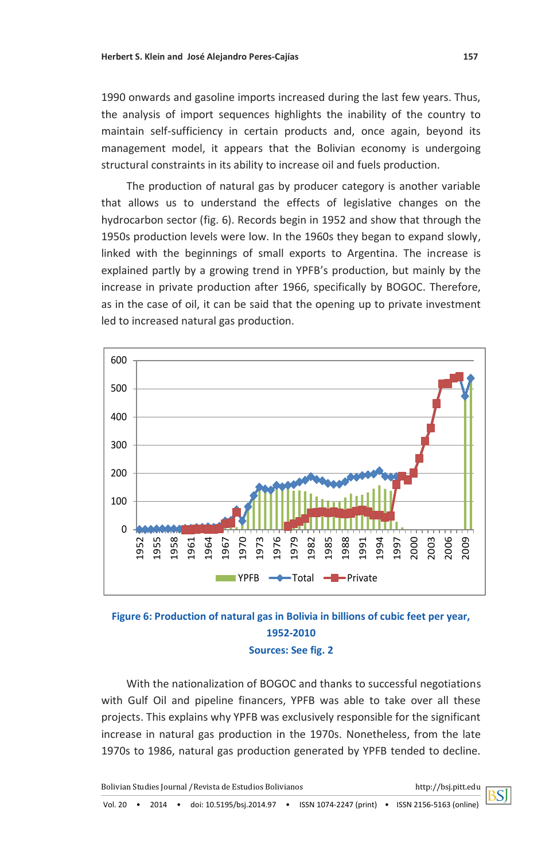1990 onwards and gasoline imports increased during the last few years. Thus, the analysis of import sequences highlights the inability of the country to maintain self-sufficiency in certain products and, once again, beyond its management model, it appears that the Bolivian economy is undergoing structural constraints in its ability to increase oil and fuels production.

The production of natural gas by producer category is another variable that allows us to understand the effects of legislative changes on the hydrocarbon sector (fig. 6). Records begin in 1952 and show that through the 1950s production levels were low. In the 1960s they began to expand slowly, linked with the beginnings of small exports to Argentina. The increase is explained partly by a growing trend in YPFB's production, but mainly by the increase in private production after 1966, specifically by BOGOC. Therefore, as in the case of oil, it can be said that the opening up to private investment led to increased natural gas production.





With the nationalization of BOGOC and thanks to successful negotiations with Gulf Oil and pipeline financers, YPFB was able to take over all these projects. This explains why YPFB was exclusively responsible for the significant increase in natural gas production in the 1970s. Nonetheless, from the late 1970s to 1986, natural gas production generated by YPFB tended to decline.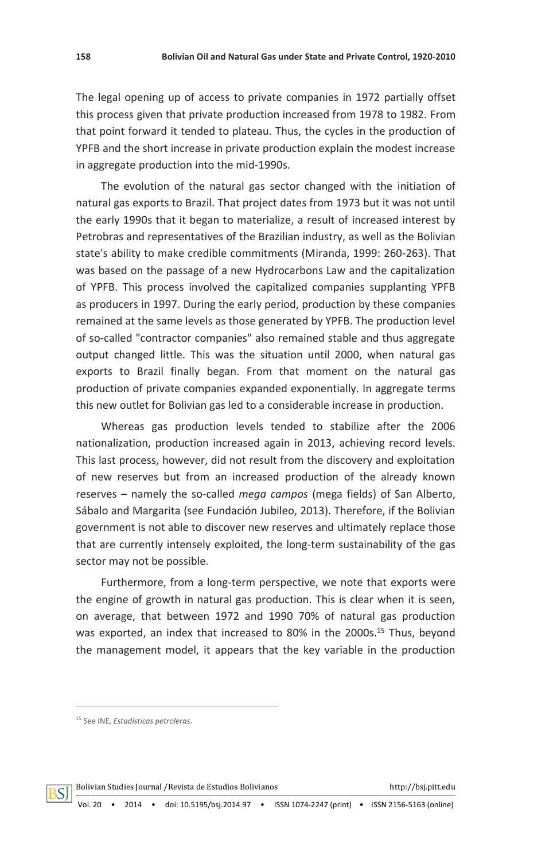The legal opening up of access to private companies in 1972 partially offset this process given that private production increased from 1978 to 1982. From that point forward it tended to plateau. Thus, the cycles in the production of YPFB and the short increase in private production explain the modest increase in aggregate production into the mid-1990s.

The evolution of the natural gas sector changed with the initiation of natural gas exports to Brazil. That project dates from 1973 but it was not until the early 1990s that it began to materialize, a result of increased interest by Petrobras and representatives of the Brazilian industry, as well as the Bolivian state's ability to make credible commitments (Miranda, 1999: 260-263). That was based on the passage of a new Hydrocarbons Law and the capitalization of YPFB. This process involved the capitalized companies supplanting YPFB as producers in 1997. During the early period, production by these companies remained at the same levels as those generated by YPFB. The production level of so-called "contractor companies" also remained stable and thus aggregate output changed little. This was the situation until 2000, when natural gas exports to Brazil finally began. From that moment on the natural gas production of private companies expanded exponentially. In aggregate terms this new outlet for Bolivian gas led to a considerable increase in production.

Whereas gas production levels tended to stabilize after the 2006 nationalization, production increased again in 2013, achieving record levels. This last process, however, did not result from the discovery and exploitation of new reserves but from an increased production of the already known reserves – namely the so-called *mega campos* (mega fields) of San Alberto, Sábalo and Margarita (see Fundación Jubileo, 2013). Therefore, if the Bolivian government is not able to discover new reserves and ultimately replace those that are currently intensely exploited, the long-term sustainability of the gas sector may not be possible.

Furthermore, from a long-term perspective, we note that exports were the engine of growth in natural gas production. This is clear when it is seen, on average, that between 1972 and 1990 70% of natural gas production was exported, an index that increased to 80% in the 2000s.<sup>15</sup> Thus, beyond the management model, it appears that the key variable in the production



<sup>15</sup> See INE, *Estadísticas petroleras*.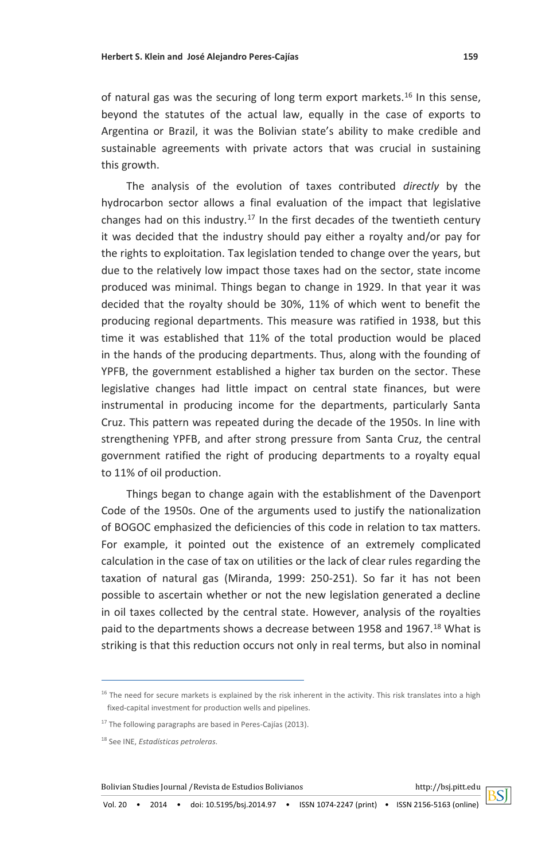of natural gas was the securing of long term export markets.<sup>16</sup> In this sense, beyond the statutes of the actual law, equally in the case of exports to Argentina or Brazil, it was the Bolivian state's ability to make credible and sustainable agreements with private actors that was crucial in sustaining this growth.

The analysis of the evolution of taxes contributed *directly* by the hydrocarbon sector allows a final evaluation of the impact that legislative changes had on this industry.<sup>17</sup> In the first decades of the twentieth century it was decided that the industry should pay either a royalty and/or pay for the rights to exploitation. Tax legislation tended to change over the years, but due to the relatively low impact those taxes had on the sector, state income produced was minimal. Things began to change in 1929. In that year it was decided that the royalty should be 30%, 11% of which went to benefit the producing regional departments. This measure was ratified in 1938, but this time it was established that 11% of the total production would be placed in the hands of the producing departments. Thus, along with the founding of YPFB, the government established a higher tax burden on the sector. These legislative changes had little impact on central state finances, but were instrumental in producing income for the departments, particularly Santa Cruz. This pattern was repeated during the decade of the 1950s. In line with strengthening YPFB, and after strong pressure from Santa Cruz, the central government ratified the right of producing departments to a royalty equal to 11% of oil production.

Things began to change again with the establishment of the Davenport Code of the 1950s. One of the arguments used to justify the nationalization of BOGOC emphasized the deficiencies of this code in relation to tax matters. For example, it pointed out the existence of an extremely complicated calculation in the case of tax on utilities or the lack of clear rules regarding the taxation of natural gas (Miranda, 1999: 250-251). So far it has not been possible to ascertain whether or not the new legislation generated a decline in oil taxes collected by the central state. However, analysis of the royalties paid to the departments shows a decrease between 1958 and 1967.<sup>18</sup> What is striking is that this reduction occurs not only in real terms, but also in nominal

Bolivian Studies Journal /Revista de Estudios Bolivianos http://bsj.pitt.edu



<sup>&</sup>lt;sup>16</sup> The need for secure markets is explained by the risk inherent in the activity. This risk translates into a high fixed-capital investment for production wells and pipelines.

<sup>&</sup>lt;sup>17</sup> The following paragraphs are based in Peres-Cajías (2013).

<sup>18</sup> See INE, *Estadísticas petroleras*.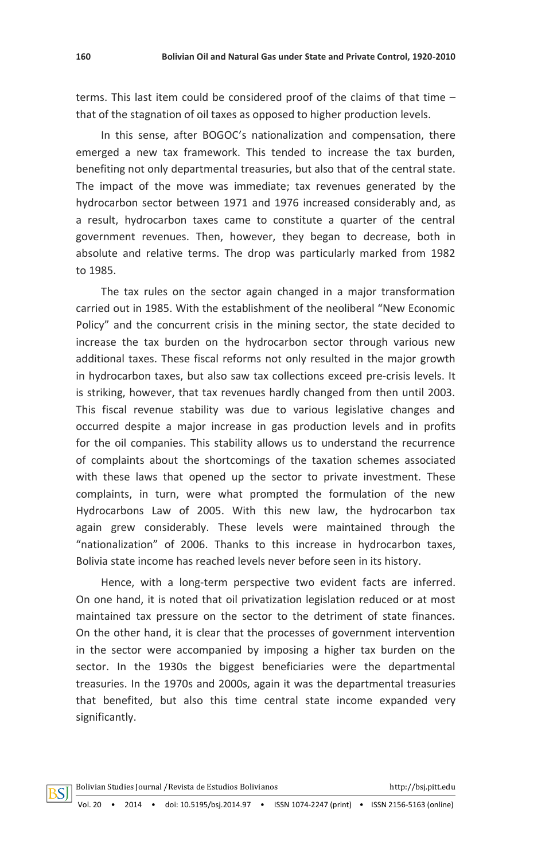terms. This last item could be considered proof of the claims of that time – that of the stagnation of oil taxes as opposed to higher production levels.

In this sense, after BOGOC's nationalization and compensation, there emerged a new tax framework. This tended to increase the tax burden, benefiting not only departmental treasuries, but also that of the central state. The impact of the move was immediate; tax revenues generated by the hydrocarbon sector between 1971 and 1976 increased considerably and, as a result, hydrocarbon taxes came to constitute a quarter of the central government revenues. Then, however, they began to decrease, both in absolute and relative terms. The drop was particularly marked from 1982 to 1985.

The tax rules on the sector again changed in a major transformation carried out in 1985. With the establishment of the neoliberal "New Economic Policy" and the concurrent crisis in the mining sector, the state decided to increase the tax burden on the hydrocarbon sector through various new additional taxes. These fiscal reforms not only resulted in the major growth in hydrocarbon taxes, but also saw tax collections exceed pre-crisis levels. It is striking, however, that tax revenues hardly changed from then until 2003. This fiscal revenue stability was due to various legislative changes and occurred despite a major increase in gas production levels and in profits for the oil companies. This stability allows us to understand the recurrence of complaints about the shortcomings of the taxation schemes associated with these laws that opened up the sector to private investment. These complaints, in turn, were what prompted the formulation of the new Hydrocarbons Law of 2005. With this new law, the hydrocarbon tax again grew considerably. These levels were maintained through the "nationalization" of 2006. Thanks to this increase in hydrocarbon taxes, Bolivia state income has reached levels never before seen in its history.

Hence, with a long-term perspective two evident facts are inferred. On one hand, it is noted that oil privatization legislation reduced or at most maintained tax pressure on the sector to the detriment of state finances. On the other hand, it is clear that the processes of government intervention in the sector were accompanied by imposing a higher tax burden on the sector. In the 1930s the biggest beneficiaries were the departmental treasuries. In the 1970s and 2000s, again it was the departmental treasuries that benefited, but also this time central state income expanded very significantly.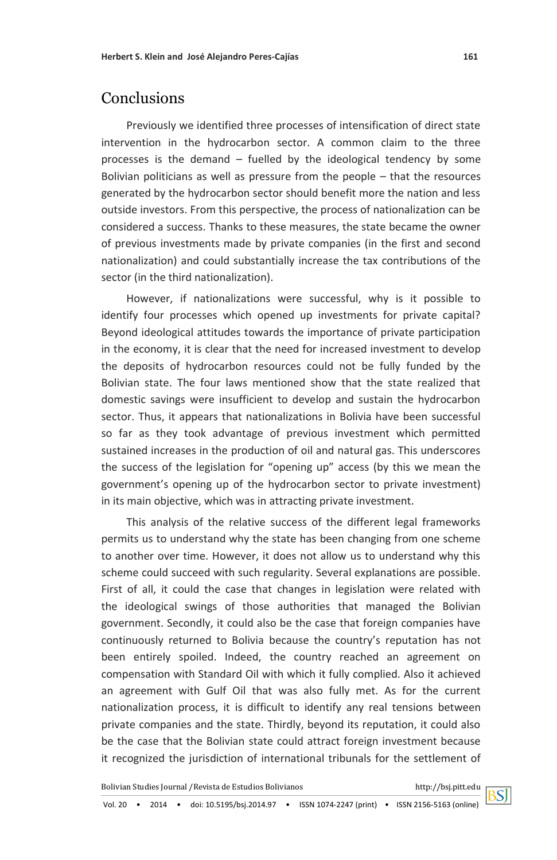# **Conclusions**

Previously we identified three processes of intensification of direct state intervention in the hydrocarbon sector. A common claim to the three processes is the demand – fuelled by the ideological tendency by some Bolivian politicians as well as pressure from the people – that the resources generated by the hydrocarbon sector should benefit more the nation and less outside investors. From this perspective, the process of nationalization can be considered a success. Thanks to these measures, the state became the owner of previous investments made by private companies (in the first and second nationalization) and could substantially increase the tax contributions of the sector (in the third nationalization).

However, if nationalizations were successful, why is it possible to identify four processes which opened up investments for private capital? Beyond ideological attitudes towards the importance of private participation in the economy, it is clear that the need for increased investment to develop the deposits of hydrocarbon resources could not be fully funded by the Bolivian state. The four laws mentioned show that the state realized that domestic savings were insufficient to develop and sustain the hydrocarbon sector. Thus, it appears that nationalizations in Bolivia have been successful so far as they took advantage of previous investment which permitted sustained increases in the production of oil and natural gas. This underscores the success of the legislation for "opening up" access (by this we mean the government's opening up of the hydrocarbon sector to private investment) in its main objective, which was in attracting private investment.

This analysis of the relative success of the different legal frameworks permits us to understand why the state has been changing from one scheme to another over time. However, it does not allow us to understand why this scheme could succeed with such regularity. Several explanations are possible. First of all, it could the case that changes in legislation were related with the ideological swings of those authorities that managed the Bolivian government. Secondly, it could also be the case that foreign companies have continuously returned to Bolivia because the country's reputation has not been entirely spoiled. Indeed, the country reached an agreement on compensation with Standard Oil with which it fully complied. Also it achieved an agreement with Gulf Oil that was also fully met. As for the current nationalization process, it is difficult to identify any real tensions between private companies and the state. Thirdly, beyond its reputation, it could also be the case that the Bolivian state could attract foreign investment because it recognized the jurisdiction of international tribunals for the settlement of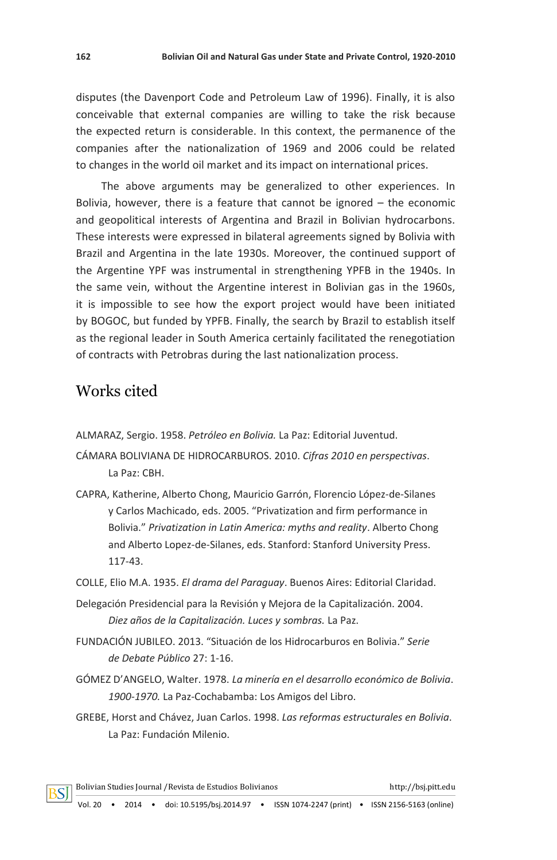disputes (the Davenport Code and Petroleum Law of 1996). Finally, it is also conceivable that external companies are willing to take the risk because the expected return is considerable. In this context, the permanence of the companies after the nationalization of 1969 and 2006 could be related to changes in the world oil market and its impact on international prices.

The above arguments may be generalized to other experiences. In Bolivia, however, there is a feature that cannot be ignored – the economic and geopolitical interests of Argentina and Brazil in Bolivian hydrocarbons. These interests were expressed in bilateral agreements signed by Bolivia with Brazil and Argentina in the late 1930s. Moreover, the continued support of the Argentine YPF was instrumental in strengthening YPFB in the 1940s. In the same vein, without the Argentine interest in Bolivian gas in the 1960s, it is impossible to see how the export project would have been initiated by BOGOC, but funded by YPFB. Finally, the search by Brazil to establish itself as the regional leader in South America certainly facilitated the renegotiation of contracts with Petrobras during the last nationalization process.

# Works cited

ALMARAZ, Sergio. 1958. *Petróleo en Bolivia.* La Paz: Editorial Juventud.

CÁMARA BOLIVIANA DE HIDROCARBUROS. 2010. *Cifras 2010 en perspectivas*. La Paz: CBH.

- CAPRA, Katherine, Alberto Chong, Mauricio Garrón, Florencio López-de-Silanes y Carlos Machicado, eds. 2005. "Privatization and firm performance in Bolivia." *Privatization in Latin America: myths and reality*. Alberto Chong and Alberto Lopez-de-Silanes, eds. Stanford: Stanford University Press. 117-43.
- COLLE, Elio M.A. 1935. *El drama del Paraguay*. Buenos Aires: Editorial Claridad.
- Delegación Presidencial para la Revisión y Mejora de la Capitalización. 2004. *Diez años de la Capitalización. Luces y sombras.* La Paz.
- FUNDACIÓN JUBILEO. 2013. "Situación de los Hidrocarburos en Bolivia." *Serie de Debate Público* 27: 1-16.
- GÓMEZ D'ANGELO, Walter. 1978. *La minería en el desarrollo económico de Bolivia*. *1900-1970.* La Paz-Cochabamba: Los Amigos del Libro.
- GREBE, Horst and Chávez, Juan Carlos. 1998. *Las reformas estructurales en Bolivia*. La Paz: Fundación Milenio.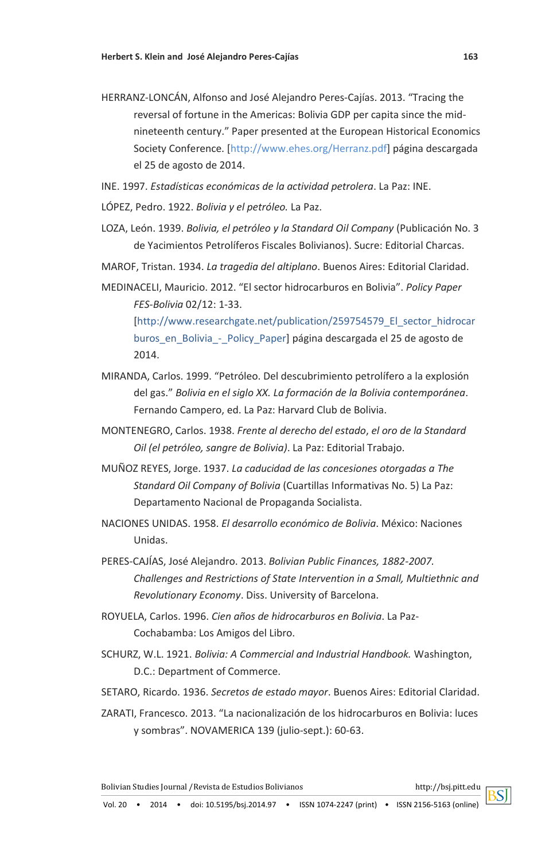- HERRANZ-LONCÁN, Alfonso and José Alejandro Peres-Cajías. 2013. "Tracing the reversal of fortune in the Americas: Bolivia GDP per capita since the midnineteenth century." Paper presented at the European Historical Economics Society Conference. [http://www.ehes.org/Herranz.pdf] página descargada el 25 de agosto de 2014.
- INE. 1997. *Estadísticas económicas de la actividad petrolera*. La Paz: INE.
- LÓPEZ, Pedro. 1922. *Bolivia y el petróleo.* La Paz.
- LOZA, León. 1939. *Bolivia, el petróleo y la Standard Oil Company* (Publicación No. 3 de Yacimientos Petrolíferos Fiscales Bolivianos). Sucre: Editorial Charcas.
- MAROF, Tristan. 1934. *La tragedia del altiplano*. Buenos Aires: Editorial Claridad.
- MEDINACELI, Mauricio. 2012. "El sector hidrocarburos en Bolivia". *Policy Paper FES-Bolivia* 02/12: 1-33. [http://www.researchgate.net/publication/259754579\_El\_sector\_hidrocar

buros en Bolivia - Policy Paper] página descargada el 25 de agosto de 2014.

- MIRANDA, Carlos. 1999. "Petróleo. Del descubrimiento petrolífero a la explosión del gas." *Bolivia en el siglo XX. La formación de la Bolivia contemporánea*. Fernando Campero, ed. La Paz: Harvard Club de Bolivia.
- MONTENEGRO, Carlos. 1938. *Frente al derecho del estado*, *el oro de la Standard Oil (el petróleo, sangre de Bolivia)*. La Paz: Editorial Trabajo.
- MUÑOZ REYES, Jorge. 1937. *La caducidad de las concesiones otorgadas a The Standard Oil Company of Bolivia* (Cuartillas Informativas No. 5) La Paz: Departamento Nacional de Propaganda Socialista.
- NACIONES UNIDAS. 1958. *El desarrollo económico de Bolivia*. México: Naciones Unidas.
- PERES-CAJÍAS, José Alejandro. 2013. *Bolivian Public Finances, 1882-2007. Challenges and Restrictions of State Intervention in a Small, Multiethnic and Revolutionary Economy*. Diss. University of Barcelona.
- ROYUELA, Carlos. 1996. *Cien años de hidrocarburos en Bolivia*. La Paz-Cochabamba: Los Amigos del Libro.
- SCHURZ, W.L. 1921. *Bolivia: A Commercial and Industrial Handbook.* Washington, D.C.: Department of Commerce.
- SETARO, Ricardo. 1936. *Secretos de estado mayor*. Buenos Aires: Editorial Claridad.
- ZARATI, Francesco. 2013. "La nacionalización de los hidrocarburos en Bolivia: luces y sombras". NOVAMERICA 139 (julio-sept.): 60-63.